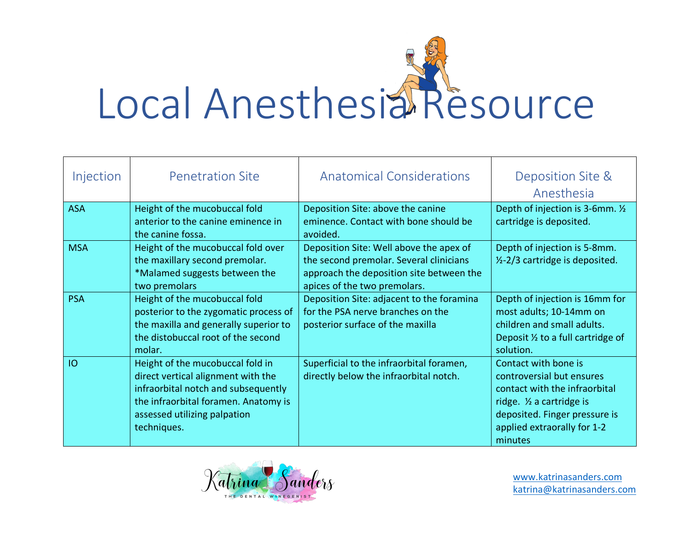

| Injection  | <b>Penetration Site</b>                                                                                                                                                                              | <b>Anatomical Considerations</b>                                                                                                                               | Deposition Site &<br>Anesthesia                                                                                                                                                                        |
|------------|------------------------------------------------------------------------------------------------------------------------------------------------------------------------------------------------------|----------------------------------------------------------------------------------------------------------------------------------------------------------------|--------------------------------------------------------------------------------------------------------------------------------------------------------------------------------------------------------|
| <b>ASA</b> | Height of the mucobuccal fold<br>anterior to the canine eminence in<br>the canine fossa.                                                                                                             | Deposition Site: above the canine<br>eminence. Contact with bone should be<br>avoided.                                                                         | Depth of injection is 3-6mm. 1/2<br>cartridge is deposited.                                                                                                                                            |
| <b>MSA</b> | Height of the mucobuccal fold over<br>the maxillary second premolar.<br>*Malamed suggests between the<br>two premolars                                                                               | Deposition Site: Well above the apex of<br>the second premolar. Several clinicians<br>approach the deposition site between the<br>apices of the two premolars. | Depth of injection is 5-8mm.<br>$1/2$ -2/3 cartridge is deposited.                                                                                                                                     |
| <b>PSA</b> | Height of the mucobuccal fold<br>posterior to the zygomatic process of<br>the maxilla and generally superior to<br>the distobuccal root of the second<br>molar.                                      | Deposition Site: adjacent to the foramina<br>for the PSA nerve branches on the<br>posterior surface of the maxilla                                             | Depth of injection is 16mm for<br>most adults; 10-14mm on<br>children and small adults.<br>Deposit $\frac{1}{2}$ to a full cartridge of<br>solution.                                                   |
| IO         | Height of the mucobuccal fold in<br>direct vertical alignment with the<br>infraorbital notch and subsequently<br>the infraorbital foramen. Anatomy is<br>assessed utilizing palpation<br>techniques. | Superficial to the infraorbital foramen,<br>directly below the infraorbital notch.                                                                             | Contact with bone is<br>controversial but ensures<br>contact with the infraorbital<br>ridge. 1/ <sub>2</sub> a cartridge is<br>deposited. Finger pressure is<br>applied extraorally for 1-2<br>minutes |



www.katrinasanders.com katrina@katrinasanders.com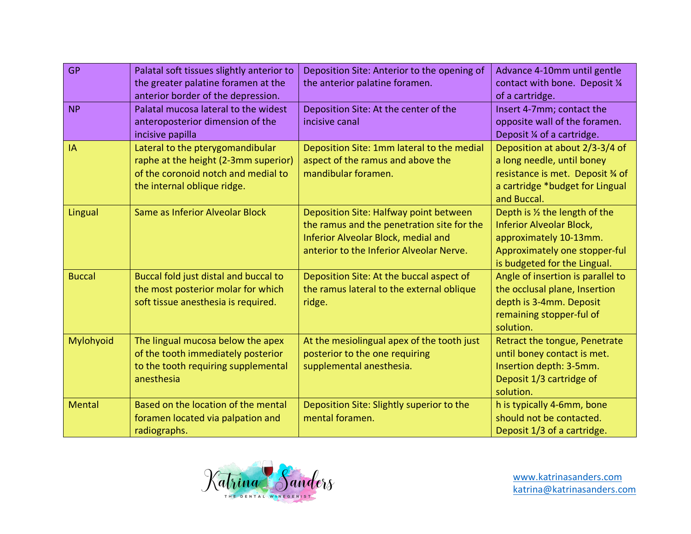| <b>GP</b>     | Palatal soft tissues slightly anterior to<br>the greater palatine foramen at the<br>anterior border of the depression.                         | Deposition Site: Anterior to the opening of<br>the anterior palatine foramen.                                                                                                  | Advance 4-10mm until gentle<br>contact with bone. Deposit 1/4<br>of a cartridge.                                                                             |
|---------------|------------------------------------------------------------------------------------------------------------------------------------------------|--------------------------------------------------------------------------------------------------------------------------------------------------------------------------------|--------------------------------------------------------------------------------------------------------------------------------------------------------------|
| <b>NP</b>     | Palatal mucosa lateral to the widest<br>anteroposterior dimension of the<br>incisive papilla                                                   | Deposition Site: At the center of the<br>incisive canal                                                                                                                        | Insert 4-7mm; contact the<br>opposite wall of the foramen.<br>Deposit ¼ of a cartridge.                                                                      |
| IA            | Lateral to the pterygomandibular<br>raphe at the height (2-3mm superior)<br>of the coronoid notch and medial to<br>the internal oblique ridge. | Deposition Site: 1mm lateral to the medial<br>aspect of the ramus and above the<br>mandibular foramen.                                                                         | Deposition at about 2/3-3/4 of<br>a long needle, until boney<br>resistance is met. Deposit % of<br>a cartridge *budget for Lingual<br>and Buccal.            |
| Lingual       | Same as Inferior Alveolar Block                                                                                                                | Deposition Site: Halfway point between<br>the ramus and the penetration site for the<br><b>Inferior Alveolar Block, medial and</b><br>anterior to the Inferior Alveolar Nerve. | Depth is 1/2 the length of the<br><b>Inferior Alveolar Block,</b><br>approximately 10-13mm.<br>Approximately one stopper-ful<br>is budgeted for the Lingual. |
| <b>Buccal</b> | Buccal fold just distal and buccal to<br>the most posterior molar for which<br>soft tissue anesthesia is required.                             | Deposition Site: At the buccal aspect of<br>the ramus lateral to the external oblique<br>ridge.                                                                                | Angle of insertion is parallel to<br>the occlusal plane, Insertion<br>depth is 3-4mm. Deposit<br>remaining stopper-ful of<br>solution.                       |
| Mylohyoid     | The lingual mucosa below the apex<br>of the tooth immediately posterior<br>to the tooth requiring supplemental<br>anesthesia                   | At the mesiolingual apex of the tooth just<br>posterior to the one requiring<br>supplemental anesthesia.                                                                       | Retract the tongue, Penetrate<br>until boney contact is met.<br>Insertion depth: 3-5mm.<br>Deposit 1/3 cartridge of<br>solution.                             |
| <b>Mental</b> | Based on the location of the mental<br>foramen located via palpation and<br>radiographs.                                                       | Deposition Site: Slightly superior to the<br>mental foramen.                                                                                                                   | h is typically 4-6mm, bone<br>should not be contacted.<br>Deposit 1/3 of a cartridge.                                                                        |

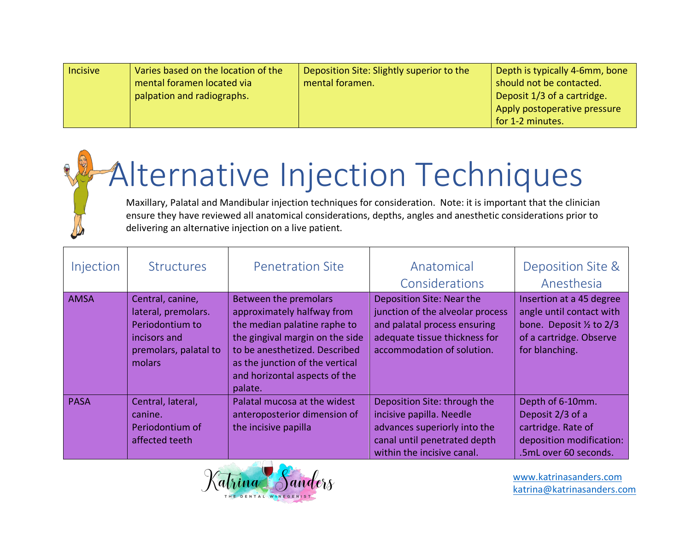| Incisive | Varies based on the location of the | Deposition Site: Slightly superior to the | Depth is typically 4-6mm, bone |
|----------|-------------------------------------|-------------------------------------------|--------------------------------|
|          | mental foramen located via          | mental foramen.                           | should not be contacted.       |
|          | palpation and radiographs.          |                                           | Deposit 1/3 of a cartridge.    |
|          |                                     |                                           | Apply postoperative pressure   |
|          |                                     |                                           | for 1-2 minutes.               |

## Alternative Injection Techniques

Maxillary, Palatal and Mandibular injection techniques for consideration. Note: it is important that the clinician ensure they have reviewed all anatomical considerations, depths, angles and anesthetic considerations prior to delivering an alternative injection on a live patient.

| Injection   | <b>Structures</b>                                                                                             | <b>Penetration Site</b>                                                                                                                                                                                                                | Anatomical<br>Considerations                                                                                                                                 | Deposition Site &<br>Anesthesia                                                                                                         |
|-------------|---------------------------------------------------------------------------------------------------------------|----------------------------------------------------------------------------------------------------------------------------------------------------------------------------------------------------------------------------------------|--------------------------------------------------------------------------------------------------------------------------------------------------------------|-----------------------------------------------------------------------------------------------------------------------------------------|
| <b>AMSA</b> | Central, canine,<br>lateral, premolars.<br>Periodontium to<br>incisors and<br>premolars, palatal to<br>molars | Between the premolars<br>approximately halfway from<br>the median palatine raphe to<br>the gingival margin on the side<br>to be anesthetized. Described<br>as the junction of the vertical<br>and horizontal aspects of the<br>palate. | Deposition Site: Near the<br>junction of the alveolar process<br>and palatal process ensuring<br>adequate tissue thickness for<br>accommodation of solution. | Insertion at a 45 degree<br>angle until contact with<br>bone. Deposit $\frac{1}{2}$ to 2/3<br>of a cartridge. Observe<br>for blanching. |
| <b>PASA</b> | Central, lateral,<br>canine.<br>Periodontium of<br>affected teeth                                             | Palatal mucosa at the widest<br>anteroposterior dimension of<br>the incisive papilla                                                                                                                                                   | Deposition Site: through the<br>incisive papilla. Needle<br>advances superiorly into the<br>canal until penetrated depth<br>within the incisive canal.       | Depth of 6-10mm.<br>Deposit 2/3 of a<br>cartridge. Rate of<br>deposition modification:<br>.5mL over 60 seconds.                         |



www.katrinasanders.com katrina@katrinasanders.com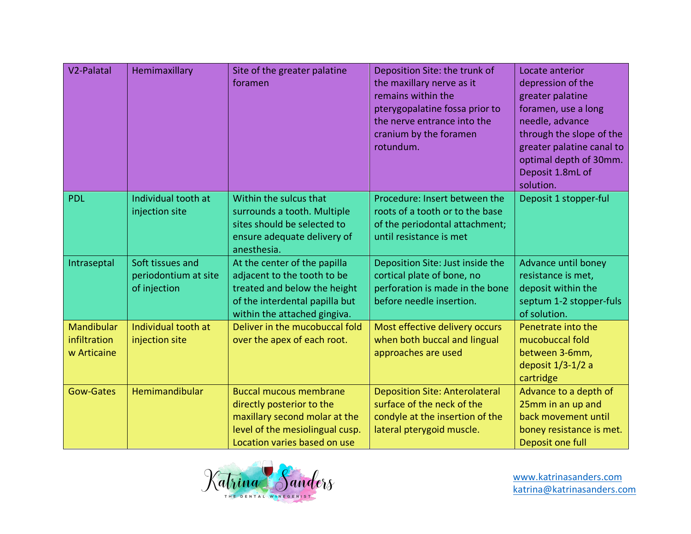| V <sub>2</sub> -Palatal                          | Hemimaxillary                                            | Site of the greater palatine<br>foramen                                                                                                                        | Deposition Site: the trunk of<br>the maxillary nerve as it<br>remains within the<br>pterygopalatine fossa prior to<br>the nerve entrance into the<br>cranium by the foramen<br>rotundum. | Locate anterior<br>depression of the<br>greater palatine<br>foramen, use a long<br>needle, advance<br>through the slope of the<br>greater palatine canal to<br>optimal depth of 30mm.<br>Deposit 1.8mL of<br>solution. |
|--------------------------------------------------|----------------------------------------------------------|----------------------------------------------------------------------------------------------------------------------------------------------------------------|------------------------------------------------------------------------------------------------------------------------------------------------------------------------------------------|------------------------------------------------------------------------------------------------------------------------------------------------------------------------------------------------------------------------|
| <b>PDL</b>                                       | Individual tooth at<br>injection site                    | Within the sulcus that<br>surrounds a tooth. Multiple<br>sites should be selected to<br>ensure adequate delivery of<br>anesthesia.                             | Procedure: Insert between the<br>roots of a tooth or to the base<br>of the periodontal attachment;<br>until resistance is met                                                            | Deposit 1 stopper-ful                                                                                                                                                                                                  |
| Intraseptal                                      | Soft tissues and<br>periodontium at site<br>of injection | At the center of the papilla<br>adjacent to the tooth to be<br>treated and below the height<br>of the interdental papilla but<br>within the attached gingiva.  | Deposition Site: Just inside the<br>cortical plate of bone, no<br>perforation is made in the bone<br>before needle insertion.                                                            | Advance until boney<br>resistance is met,<br>deposit within the<br>septum 1-2 stopper-fuls<br>of solution.                                                                                                             |
| <b>Mandibular</b><br>infiltration<br>w Articaine | Individual tooth at<br>injection site                    | Deliver in the mucobuccal fold<br>over the apex of each root.                                                                                                  | Most effective delivery occurs<br>when both buccal and lingual<br>approaches are used                                                                                                    | Penetrate into the<br>mucobuccal fold<br>between 3-6mm,<br>deposit $1/3-1/2$ a<br>cartridge                                                                                                                            |
| <b>Gow-Gates</b>                                 | Hemimandibular                                           | <b>Buccal mucous membrane</b><br>directly posterior to the<br>maxillary second molar at the<br>level of the mesiolingual cusp.<br>Location varies based on use | <b>Deposition Site: Anterolateral</b><br>surface of the neck of the<br>condyle at the insertion of the<br>lateral pterygoid muscle.                                                      | Advance to a depth of<br>25mm in an up and<br>back movement until<br>boney resistance is met.<br>Deposit one full                                                                                                      |